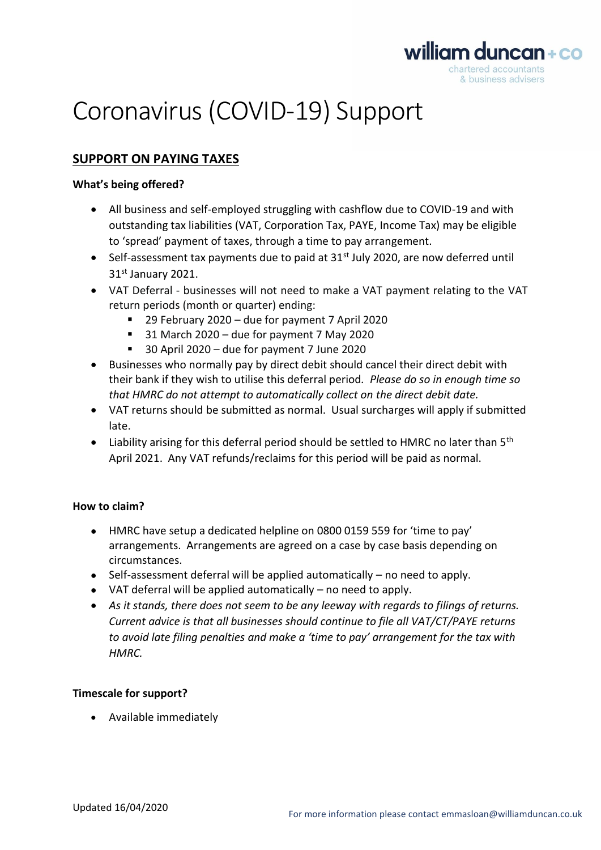

# Coronavirus (COVID-19) Support

## **SUPPORT ON PAYING TAXES**

### **What's being offered?**

- All business and self-employed struggling with cashflow due to COVID-19 and with outstanding tax liabilities (VAT, Corporation Tax, PAYE, Income Tax) may be eligible to 'spread' payment of taxes, through a time to pay arrangement.
- Self-assessment tax payments due to paid at  $31<sup>st</sup>$  July 2020, are now deferred until 31st January 2021.
- VAT Deferral businesses will not need to make a VAT payment relating to the VAT return periods (month or quarter) ending:
	- 29 February 2020 due for payment 7 April 2020
	- $31$  March 2020 due for payment 7 May 2020
	- 30 April 2020 due for payment 7 June 2020
- Businesses who normally pay by direct debit should cancel their direct debit with their bank if they wish to utilise this deferral period*. Please do so in enough time so that HMRC do not attempt to automatically collect on the direct debit date.*
- VAT returns should be submitted as normal. Usual surcharges will apply if submitted late.
- Liability arising for this deferral period should be settled to HMRC no later than  $5<sup>th</sup>$ April 2021. Any VAT refunds/reclaims for this period will be paid as normal.

## **How to claim?**

- HMRC have setup a dedicated helpline on 0800 0159 559 for 'time to pay' arrangements. Arrangements are agreed on a case by case basis depending on circumstances.
- Self-assessment deferral will be applied automatically no need to apply.
- VAT deferral will be applied automatically no need to apply.
- *As it stands, there does not seem to be any leeway with regards to filings of returns. Current advice is that all businesses should continue to file all VAT/CT/PAYE returns to avoid late filing penalties and make a 'time to pay' arrangement for the tax with HMRC.*

## **Timescale for support?**

• Available immediately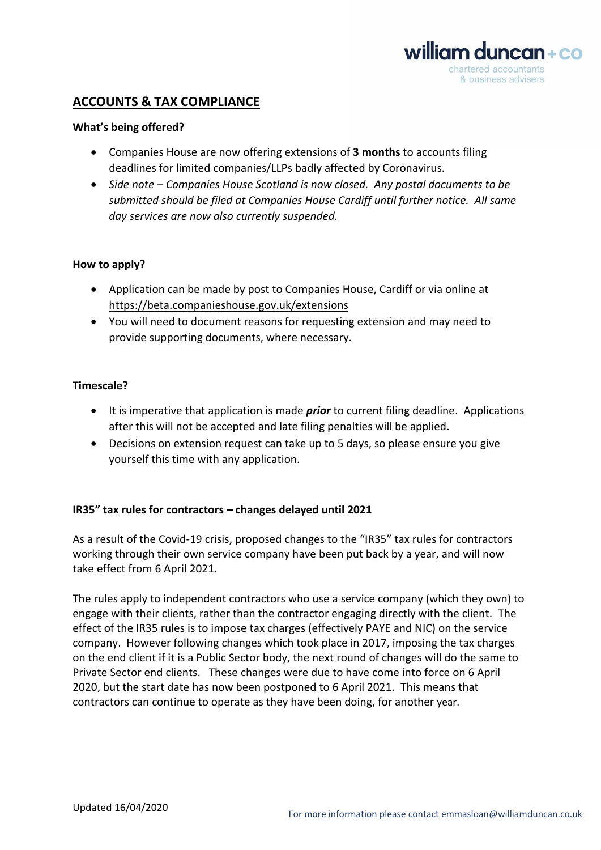

## **ACCOUNTS & TAX COMPLIANCE**

#### **What's being offered?**

- Companies House are now offering extensions of **3 months** to accounts filing deadlines for limited companies/LLPs badly affected by Coronavirus.
- *Side note – Companies House Scotland is now closed. Any postal documents to be submitted should be filed at Companies House Cardiff until further notice. All same day services are now also currently suspended.*

#### **How to apply?**

- Application can be made by post to Companies House, Cardiff or via online at <https://beta.companieshouse.gov.uk/extensions>
- You will need to document reasons for requesting extension and may need to provide supporting documents, where necessary.

#### **Timescale?**

- It is imperative that application is made *prior* to current filing deadline. Applications after this will not be accepted and late filing penalties will be applied.
- Decisions on extension request can take up to 5 days, so please ensure you give yourself this time with any application.

#### **IR35" tax rules for contractors – changes delayed until 2021**

As a result of the Covid-19 crisis, proposed changes to the "IR35" tax rules for contractors working through their own service company have been put back by a year, and will now take effect from 6 April 2021.

The rules apply to independent contractors who use a service company (which they own) to engage with their clients, rather than the contractor engaging directly with the client. The effect of the IR35 rules is to impose tax charges (effectively PAYE and NIC) on the service company. However following changes which took place in 2017, imposing the tax charges on the end client if it is a Public Sector body, the next round of changes will do the same to Private Sector end clients. These changes were due to have come into force on 6 April 2020, but the start date has now been postponed to 6 April 2021. This means that contractors can continue to operate as they have been doing, for another year.